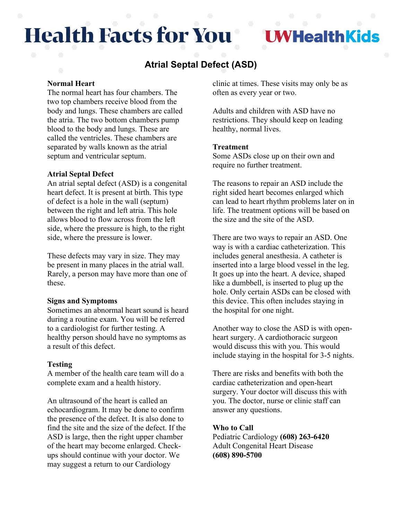# **Health Facts for You**

**VHealthKids** 

# **Atrial Septal Defect (ASD)**

### **Normal Heart**

The normal heart has four chambers. The two top chambers receive blood from the body and lungs. These chambers are called the atria. The two bottom chambers pump blood to the body and lungs. These are called the ventricles. These chambers are separated by walls known as the atrial septum and ventricular septum.

#### **Atrial Septal Defect**

An atrial septal defect (ASD) is a congenital heart defect. It is present at birth. This type of defect is a hole in the wall (septum) between the right and left atria. This hole allows blood to flow across from the left side, where the pressure is high, to the right side, where the pressure is lower.

These defects may vary in size. They may be present in many places in the atrial wall. Rarely, a person may have more than one of these.

#### **Signs and Symptoms**

Sometimes an abnormal heart sound is heard during a routine exam. You will be referred to a cardiologist for further testing. A healthy person should have no symptoms as a result of this defect.

## **Testing**

A member of the health care team will do a complete exam and a health history.

An ultrasound of the heart is called an echocardiogram. It may be done to confirm the presence of the defect. It is also done to find the site and the size of the defect. If the ASD is large, then the right upper chamber of the heart may become enlarged. Checkups should continue with your doctor. We may suggest a return to our Cardiology

clinic at times. These visits may only be as often as every year or two.

Adults and children with ASD have no restrictions. They should keep on leading healthy, normal lives.

#### **Treatment**

Some ASDs close up on their own and require no further treatment.

The reasons to repair an ASD include the right sided heart becomes enlarged which can lead to heart rhythm problems later on in life. The treatment options will be based on the size and the site of the ASD.

There are two ways to repair an ASD. One way is with a cardiac catheterization. This includes general anesthesia. A catheter is inserted into a large blood vessel in the leg. It goes up into the heart. A device, shaped like a dumbbell, is inserted to plug up the hole. Only certain ASDs can be closed with this device. This often includes staying in the hospital for one night.

Another way to close the ASD is with openheart surgery. A cardiothoracic surgeon would discuss this with you. This would include staying in the hospital for 3-5 nights.

There are risks and benefits with both the cardiac catheterization and open-heart surgery. Your doctor will discuss this with you. The doctor, nurse or clinic staff can answer any questions.

#### **Who to Call**

Pediatric Cardiology **(608) 263-6420** Adult Congenital Heart Disease **(608) 890-5700**